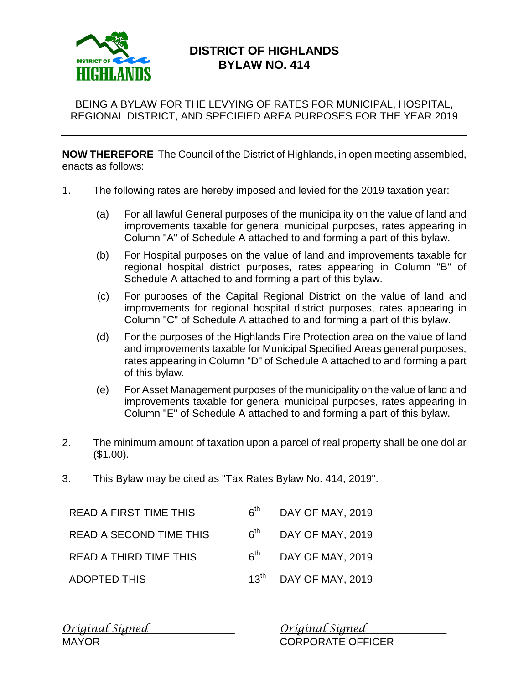

## **DISTRICT OF HIGHLANDS BYLAW NO. 414**

BEING A BYLAW FOR THE LEVYING OF RATES FOR MUNICIPAL, HOSPITAL, REGIONAL DISTRICT, AND SPECIFIED AREA PURPOSES FOR THE YEAR 2019

**NOW THEREFORE** The Council of the District of Highlands, in open meeting assembled, enacts as follows:

- 1. The following rates are hereby imposed and levied for the 2019 taxation year:
	- (a) For all lawful General purposes of the municipality on the value of land and improvements taxable for general municipal purposes, rates appearing in Column "A" of Schedule A attached to and forming a part of this bylaw.
	- (b) For Hospital purposes on the value of land and improvements taxable for regional hospital district purposes, rates appearing in Column "B" of Schedule A attached to and forming a part of this bylaw.
	- (c) For purposes of the Capital Regional District on the value of land and improvements for regional hospital district purposes, rates appearing in Column "C" of Schedule A attached to and forming a part of this bylaw.
	- (d) For the purposes of the Highlands Fire Protection area on the value of land and improvements taxable for Municipal Specified Areas general purposes, rates appearing in Column "D" of Schedule A attached to and forming a part of this bylaw.
	- (e) For Asset Management purposes of the municipality on the value of land and improvements taxable for general municipal purposes, rates appearing in Column "E" of Schedule A attached to and forming a part of this bylaw.
- 2. The minimum amount of taxation upon a parcel of real property shall be one dollar (\$1.00).
- 3. This Bylaw may be cited as "Tax Rates Bylaw No. 414, 2019".

| <b>READ A FIRST TIME THIS</b>  | 6 <sup>th</sup> | DAY OF MAY, 2019        |
|--------------------------------|-----------------|-------------------------|
| <b>READ A SECOND TIME THIS</b> | $6^{th}$        | DAY OF MAY, 2019        |
| <b>READ A THIRD TIME THIS</b>  | $6^{\text{th}}$ | DAY OF MAY, 2019        |
| <b>ADOPTED THIS</b>            |                 | $13th$ DAY OF MAY, 2019 |

*Original Signed*\_\_\_\_\_\_\_\_\_\_\_\_\_\_\_ *Original Signed*\_\_\_\_\_\_\_\_\_\_\_\_\_\_ MAYOR CORPORATE OFFICER